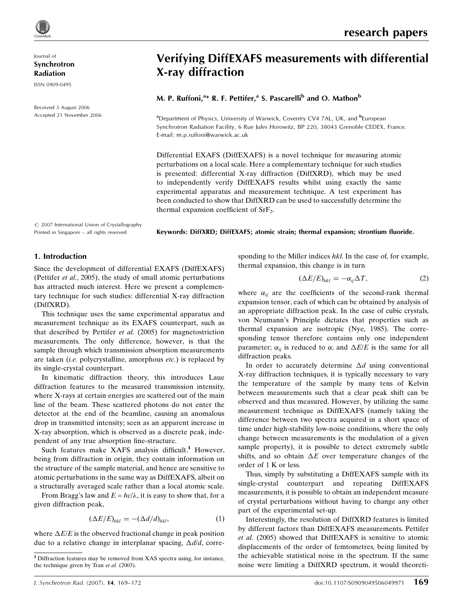Journal of

Synchrotron Radiation

ISSN 0909-0495

Received 3 August 2006 Accepted 21 November 2006

# Verifying DiffEXAFS measurements with differential X-ray diffraction

M. P. Ruffoni,<sup>a</sup>\* R. F. Pettifer,<sup>a</sup> S. Pascarelli<sup>b</sup> and O. Mathon<sup>b</sup>

<sup>a</sup>Department of Physics, University of Warwick, Coventry CV4 7AL, UK, and <sup>b</sup>European Synchrotron Radiation Facility, 6 Rue Jules Horowitz, BP 220, 38043 Grenoble CEDEX, France. E-mail: m.p.ruffoni@warwick.ac.uk

Differential EXAFS (DiffEXAFS) is a novel technique for measuring atomic perturbations on a local scale. Here a complementary technique for such studies is presented: differential X-ray diffraction (DiffXRD), which may be used to independently verify DiffEXAFS results whilst using exactly the same experimental apparatus and measurement technique. A test experiment has been conducted to show that DiffXRD can be used to successfully determine the thermal expansion coefficient of  $SrF<sub>2</sub>$ .

 $\circledR$  2007 International Union of Crystallography Printed in Singapore – all rights reserved

Keywords: DiffXRD; DiffEXAFS; atomic strain; thermal expansion; strontium fluoride.

## 1. Introduction

Since the development of differential EXAFS (DiffEXAFS) (Pettifer et al., 2005), the study of small atomic perturbations has attracted much interest. Here we present a complementary technique for such studies: differential X-ray diffraction (DiffXRD).

This technique uses the same experimental apparatus and measurement technique as its EXAFS counterpart, such as that described by Pettifer et al. (2005) for magnetostriction measurements. The only difference, however, is that the sample through which transmission absorption measurements are taken (*i.e.* polycrystalline, amorphous *etc.*) is replaced by its single-crystal counterpart.

In kinematic diffraction theory, this introduces Laue diffraction features to the measured transmission intensity, where X-rays at certain energies are scattered out of the main line of the beam. These scattered photons do not enter the detector at the end of the beamline, causing an anomalous drop in transmitted intensity; seen as an apparent increase in X-ray absorption, which is observed as a discrete peak, independent of any true absorption fine-structure.

Such features make XAFS analysis difficult.<sup>1</sup> However, being from diffraction in origin, they contain information on the structure of the sample material, and hence are sensitive to atomic perturbations in the same way as DiffEXAFS, albeit on a structurally averaged scale rather than a local atomic scale.

From Bragg's law and  $E = hc/\lambda$ , it is easy to show that, for a given diffraction peak,

$$
(\Delta E/E)_{hkl} = -(\Delta d/d)_{hkl},\tag{1}
$$

where  $\Delta E/E$  is the observed fractional change in peak position due to a relative change in interplanar spacing,  $\Delta d/d$ , corresponding to the Miller indices hkl. In the case of, for example, thermal expansion, this change is in turn

$$
(\Delta E/E)_{hkl} = -\alpha_{ij}\Delta T,\tag{2}
$$

where  $\alpha_{ij}$  are the coefficients of the second-rank thermal expansion tensor, each of which can be obtained by analysis of an appropriate diffraction peak. In the case of cubic crystals, von Neumann's Principle dictates that properties such as thermal expansion are isotropic (Nye, 1985). The corresponding tensor therefore contains only one independent parameter;  $\alpha_{ij}$  is reduced to  $\alpha$ , and  $\Delta E/E$  is the same for all diffraction peaks.

In order to accurately determine  $\Delta d$  using conventional X-ray diffraction techniques, it is typically necessary to vary the temperature of the sample by many tens of Kelvin between measurements such that a clear peak shift can be observed and thus measured. However, by utilizing the same measurement technique as DiffEXAFS (namely taking the difference between two spectra acquired in a short space of time under high-stability low-noise conditions, where the only change between measurements is the modulation of a given sample property), it is possible to detect extremely subtle shifts, and so obtain  $\Delta E$  over temperature changes of the order of 1 K or less.

Thus, simply by substituting a DiffEXAFS sample with its single-crystal counterpart and repeating DiffEXAFS measurements, it is possible to obtain an independent measure of crystal perturbations without having to change any other part of the experimental set-up.

Interestingly, the resolution of DiffXRD features is limited by different factors than DiffEXAFS measurements. Pettifer et al. (2005) showed that DiffEXAFS is sensitive to atomic displacements of the order of femtometres, being limited by the achievable statistical noise in the spectrum. If the same noise were limiting a DiffXRD spectrum, it would theoreti-

<sup>1</sup> Diffraction features may be removed from XAS spectra using, for instance, the technique given by Tran et al. (2003).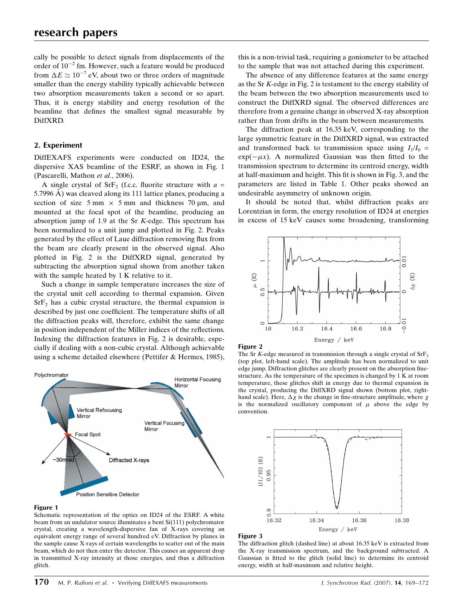cally be possible to detect signals from displacements of the order of  $10^{-2}$  fm. However, such a feature would be produced from  $\Delta E \simeq 10^{-7}$  eV, about two or three orders of magnitude smaller than the energy stability typically achievable between two absorption measurements taken a second or so apart. Thus, it is energy stability and energy resolution of the beamline that defines the smallest signal measurable by DiffXRD.

## 2. Experiment

DiffEXAFS experiments were conducted on ID24, the dispersive XAS beamline of the ESRF, as shown in Fig. 1 (Pascarelli, Mathon et al., 2006).

A single crystal of SrF<sub>2</sub> (f.c.c. fluorite structure with  $a =$ 5.7996  $\AA$ ) was cleaved along its 111 lattice planes, producing a section of size  $5 \text{ mm} \times 5 \text{ mm}$  and thickness  $70 \text{ µm}$ , and mounted at the focal spot of the beamline, producing an absorption jump of 1.9 at the Sr K-edge. This spectrum has been normalized to a unit jump and plotted in Fig. 2. Peaks generated by the effect of Laue diffraction removing flux from the beam are clearly present in the observed signal. Also plotted in Fig. 2 is the DiffXRD signal, generated by subtracting the absorption signal shown from another taken with the sample heated by 1 K relative to it.

Such a change in sample temperature increases the size of the crystal unit cell according to thermal expansion. Given  $SrF<sub>2</sub>$  has a cubic crystal structure, the thermal expansion is described by just one coefficient. The temperature shifts of all the diffraction peaks will, therefore, exhibit the same change in position independent of the Miller indices of the reflections. Indexing the diffraction features in Fig. 2 is desirable, especially if dealing with a non-cubic crystal. Although achievable using a scheme detailed elsewhere (Pettifer & Hermes, 1985),



#### Figure 1

Schematic representation of the optics on ID24 of the ESRF. A white beam from an undulator source illuminates a bent Si(111) polychromator crystal, creating a wavelength-dispersive fan of X-rays covering an equivalent energy range of several hundred eV. Diffraction by planes in the sample cause X-rays of certain wavelengths to scatter out of the main beam, which do not then enter the detector. This causes an apparent drop in transmitted X-ray intensity at those energies, and thus a diffraction glitch.

this is a non-trivial task, requiring a goniometer to be attached to the sample that was not attached during this experiment.

The absence of any difference features at the same energy as the Sr K-edge in Fig. 2 is testament to the energy stability of the beam between the two absorption measurements used to construct the DiffXRD signal. The observed differences are therefore from a genuine change in observed X-ray absorption rather than from drifts in the beam between measurements.

The diffraction peak at 16.35 keV, corresponding to the large symmetric feature in the DiffXRD signal, was extracted and transformed back to transmission space using  $I_1/I_0$  =  $\exp(-\mu x)$ . A normalized Gaussian was then fitted to the transmission spectrum to determine its centroid energy, width at half-maximum and height. This fit is shown in Fig. 3, and the parameters are listed in Table 1. Other peaks showed an undesirable asymmetry of unknown origin.

It should be noted that, whilst diffraction peaks are Lorentzian in form, the energy resolution of ID24 at energies in excess of 15 keV causes some broadening, transforming



#### Figure 2

The Sr K-edge measured in transmission through a single crystal of  $SrF<sub>2</sub>$ (top plot, left-hand scale). The amplitude has been normalized to unit edge jump. Diffraction glitches are clearly present on the absorption finestructure. As the temperature of the specimen is changed by 1 K at room temperature, these glitches shift in energy due to thermal expansion in the crystal, producing the DiffXRD signal shown (bottom plot, righthand scale). Here,  $\Delta \chi$  is the change in fine-structure amplitude, where  $\chi$ is the normalized oscillatory component of  $\mu$  above the edge by convention.



#### Figure 3

The diffraction glitch (dashed line) at about 16.35 keV is extracted from the X-ray transmission spectrum, and the background subtracted. A Gaussian is fitted to the glitch (solid line) to determine its centroid energy, width at half-maximum and relative height.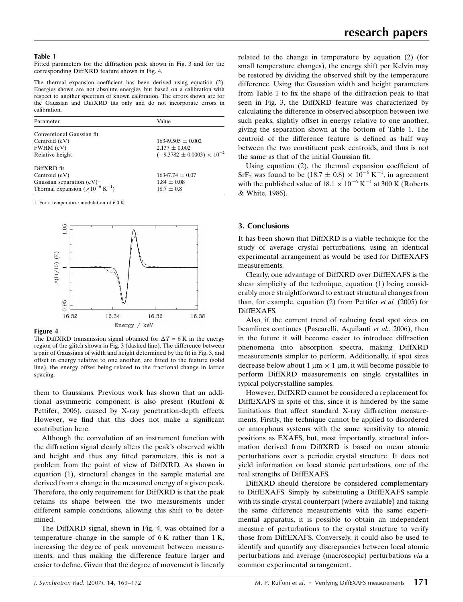#### Table 1

Fitted parameters for the diffraction peak shown in Fig. 3 and for the corresponding DiffXRD feature shown in Fig. 4.

The thermal expansion coefficient has been derived using equation (2). Energies shown are not absolute energies, but based on a calibration with respect to another spectrum of known calibration. The errors shown are for the Gaussian and DiffXRD fits only and do not incorporate errors in calibration.

| Parameter                                           | Value                                 |
|-----------------------------------------------------|---------------------------------------|
| Conventional Gaussian fit.                          |                                       |
| Centroid (eV)                                       | $16349.505 + 0.002$                   |
| FWHM (eV)                                           | $2.137 \pm 0.002$                     |
| Relative height                                     | $(-9.3782 \pm 0.0003) \times 10^{-2}$ |
| DiffXRD fit                                         |                                       |
| Centroid (eV)                                       | $16347.74 \pm 0.07$                   |
| Gaussian separation $(eV)$ †                        | $1.84 \pm 0.08$                       |
| Thermal expansion $(\times 10^{-6} \text{ K}^{-1})$ | $18.7 \pm 0.8$                        |

† For a temperature modulation of 6.0 K.



#### Figure 4

The DiffXRD transmission signal obtained for  $\Delta T = 6$  K in the energy region of the glitch shown in Fig. 3 (dashed line). The difference between a pair of Gaussians of width and height determined by the fit in Fig. 3, and offset in energy relative to one another, are fitted to the feature (solid line), the energy offset being related to the fractional change in lattice spacing.

them to Gaussians. Previous work has shown that an additional asymmetric component is also present (Ruffoni & Pettifer, 2006), caused by X-ray penetration-depth effects. However, we find that this does not make a significant contribution here.

Although the convolution of an instrument function with the diffraction signal clearly alters the peak's observed width and height and thus any fitted parameters, this is not a problem from the point of view of DiffXRD. As shown in equation (1), structural changes in the sample material are derived from a change in the measured energy of a given peak. Therefore, the only requirement for DiffXRD is that the peak retains its shape between the two measurements under different sample conditions, allowing this shift to be determined.

The DiffXRD signal, shown in Fig. 4, was obtained for a temperature change in the sample of 6 K rather than 1 K, increasing the degree of peak movement between measurements, and thus making the difference feature larger and easier to define. Given that the degree of movement is linearly

related to the change in temperature by equation (2) (for small temperature changes), the energy shift per Kelvin may be restored by dividing the observed shift by the temperature difference. Using the Gaussian width and height parameters from Table 1 to fix the shape of the diffraction peak to that seen in Fig. 3, the DiffXRD feature was characterized by calculating the difference in observed absorption between two such peaks, slightly offset in energy relative to one another, giving the separation shown at the bottom of Table 1. The centroid of the difference feature is defined as half way between the two constituent peak centroids, and thus is not the same as that of the initial Gaussian fit.

Using equation (2), the thermal expansion coefficient of  $\text{SrF}_2$  was found to be (18.7  $\pm$  0.8)  $\times$  10<sup>-6</sup> K<sup>-1</sup>, in agreement with the published value of  $18.1 \times 10^{-6}$  K<sup>-1</sup> at 300 K (Roberts & White, 1986).

## 3. Conclusions

It has been shown that DiffXRD is a viable technique for the study of average crystal perturbations, using an identical experimental arrangement as would be used for DiffEXAFS measurements.

Clearly, one advantage of DiffXRD over DiffEXAFS is the shear simplicity of the technique, equation (1) being considerably more straightforward to extract structural changes from than, for example, equation (2) from Pettifer et al. (2005) for DiffEXAFS.

Also, if the current trend of reducing focal spot sizes on beamlines continues (Pascarelli, Aquilanti et al., 2006), then in the future it will become easier to introduce diffraction phenomena into absorption spectra, making DiffXRD measurements simpler to perform. Additionally, if spot sizes decrease below about 1  $\mu$ m  $\times$  1  $\mu$ m, it will become possible to perform DiffXRD measurements on single crystallites in typical polycrystalline samples.

However, DiffXRD cannot be considered a replacement for DiffEXAFS in spite of this, since it is hindered by the same limitations that affect standard X-ray diffraction measurements. Firstly, the technique cannot be applied to disordered or amorphous systems with the same sensitivity to atomic positions as EXAFS, but, most importantly, structural information derived from DiffXRD is based on mean atomic perturbations over a periodic crystal structure. It does not yield information on local atomic perturbations, one of the real strengths of DiffEXAFS.

DiffXRD should therefore be considered complementary to DiffEXAFS. Simply by substituting a DiffEXAFS sample with its single-crystal counterpart (where available) and taking the same difference measurements with the same experimental apparatus, it is possible to obtain an independent measure of perturbations to the crystal structure to verify those from DiffEXAFS. Conversely, it could also be used to identify and quantify any discrepancies between local atomic perturbations and average (macroscopic) perturbations via a common experimental arrangement.